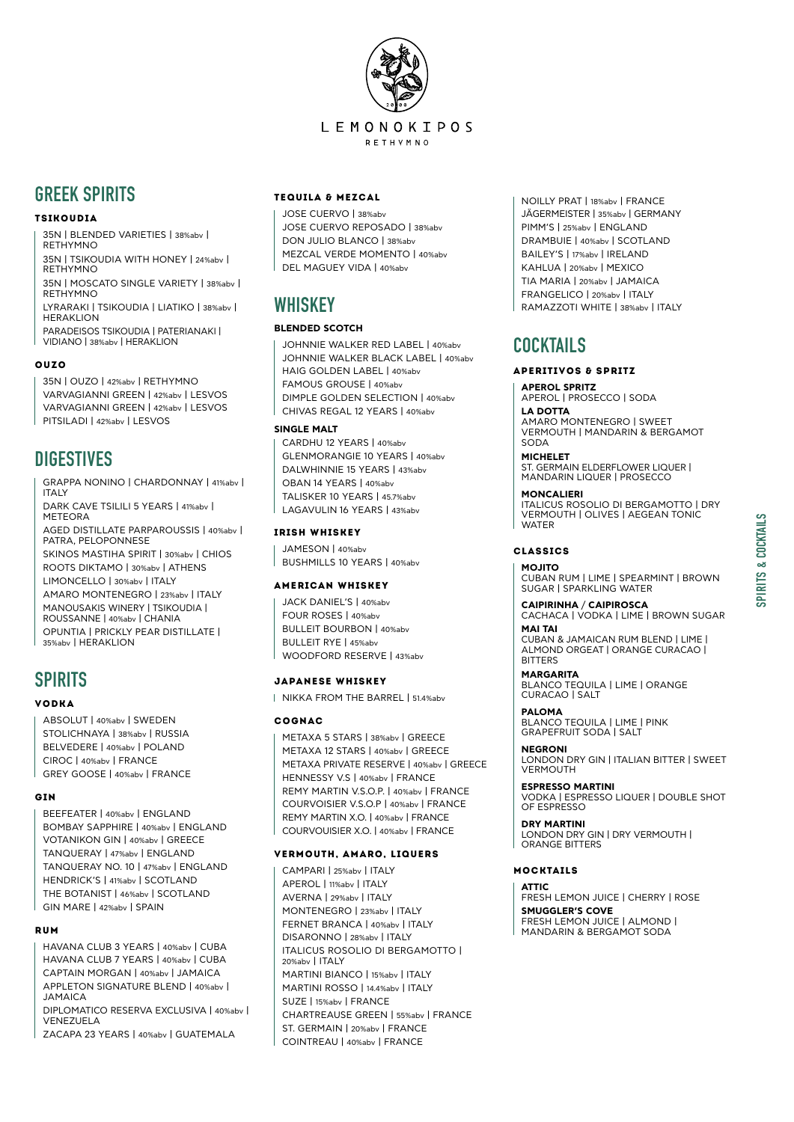

# **GREEK SPIRITS**

#### TSIKOUDIA

- 35N | BLENDED VARIETIES | 38%abv | RETHYMNO
- 35N | TSIKOUDIA WITH HONEY | 24%abv | RETHYMNO

35N | MOSCATO SINGLE VARIETY | 38%abv | RETHYMNO

LYRARAKI | TSIKOUDIA | LIATIKO | 38%abv | ΗERAKLION

PARADEISOS TSIKOUDIA | PATERIANAKI | VIDIANO | 38%abv | HERAKLION

## OUZO

35Ν | ΟUΖΟ | 42%abv | RETHYMNO VARVAGIANNI GREEN | 42%abv | LESVOS VARVAGIANNI GREEN | 42%abv | LESVOS PITSILADI | 42%abv | LESVOS

# **DIGESTIVES**

GRAPPA NONINO | CHARDONNAY | 41%abv | ITALY DARK CAVE TSILILI 5 YEARS | 41%abv | METEORA AGED DISTILLATE PARPAROUSSIS | 40%abv | PATRA, PELOPONNESE SKINOS MASTIHA SPIRIT | 30%abv | CHIOS ROOTS DIKTAMO | 30%abv | ATHENS LIMONCELLO | 30%abv | ITALY AMARO MONTENEGRO | 23%abv | ITALY MANOUSAKIS WINERY | TSIKOUDIA | ROUSSANNE | 40%abv | CHANIA OPUNTIA | PRICKLY PEAR DISTILLATE | 35%abv | HERAKLION

JOSE CUERVO | 38%abv JOSE CUERVO REPOSADO | 38%abv DON JULIO BLANCO | 38%abv MEZCAL VERDE MOMENTO | 40%abv DEL MAGUEY VIDA | 40%abv

# **SPIRITS**

## VODKA

ABSOLUT | 40%abv | SWEDEN STOLICHNAYA | 38%abv | RUSSIA BELVEDERE | 40%abv | POLAND CIROC | 40%abv | FRANCE GREY GOOSE | 40%abv | FRANCE

## GIN

BEEFEATER | 40%abv | ENGLAND BOMBAY SAPPHIRE | 40%abv | ENGLAND VOTANIKON GIN | 40%abv | GREECE

TANQUERAY | 47%abv | ENGLAND TANQUERAY NO. 10 | 47%abv | ENGLAND HENDRICK'S | 41%abv | SCOTLAND THE BOTANIST | 46%abv | SCOTLAND GIN MARE | 42%abv | SPAIN

#### RUM

HAVANA CLUB 3 YEARS | 40%abv | CUBA HAVANA CLUB 7 YEARS | 40%abv | CUBA CAPTAIN MORGAN | 40%abv | JAMAICA APPLETON SIGNATURE BLEND | 40%abv | JAMAICA

DIPLOMATICO RESERVA EXCLUSIVA | 40%abv | VENEZUELA

ZACAPA 23 YEARS | 40%abv | GUATEMALA

#### TEQUILA & MEZCAL

# **WHISKEY**

## **BLENDED SCOTCH**

JOHNNIE WALKER RED LABEL | 40%abv JOHNNIE WALKER BLACK LABEL | 40%abv HAIG GOLDEN LABEL | 40%abv FAMOUS GROUSE | 40%abv DIMPLE GOLDEN SELECTION | 40%abv CHIVAS REGAL 12 YEARS | 40%abv

## **SINGLE MALT**

CARDHU 12 YEARS | 40%abv GLENMORANGIE 10 YEARS | 40%abv DALWHINNIE 15 YEARS | 43%abv OBAN 14 YEARS | 40%abv TALISKER 10 YEARS | 45.7%abv LAGAVULIN 16 YEARS | 43%abv

## IRISH WHISKEY

JAMESON | 40%abv BUSHMILLS 10 YEARS | 40%abv

## AMERICAN WHISKEY

JACK DANIEL'S | 40%abv FOUR ROSES | 40%abv BULLEIT BOURBON | 40%abv BULLEIT RYE | 45%abv WOODFORD RESERVE | 43%abv

## JAPANESE WHISKEY

| NIKKA FROM THE BARREL | 51.4%abv

## COGNAC

METAXA 5 STARS | 38%abv | GREECE METAXA 12 STARS | 40%abv | GREECE METAXA PRIVATE RESERVE | 40%abv | GREECE HENNESSY V.S | 40%abv | FRANCE REMY MARTIN V.S.O.P. | 40%abv | FRANCE COURVOISIER V.S.O.P | 40%abv | FRANCE REMY MARTIN X.O. | 40%abv | FRANCE COURVOUISIER X.O. | 40%abv | FRANCE

#### VERMOUTH, AMARO, LIQUERS

CAMPARI | 25%abv | ITALY APEROL | 11%abv | ITALY AVERNA | 29%abv | ITALY MONTENEGRO | 23%abv | ITALY FERNET BRANCA | 40%abv | ITALY DISARONNO | 28%abv | ITALY ITALICUS ROSOLIO DI BERGAMOTTO | 20%abv | ITALY MARTINI BIANCO | 15%abv | ITALY MARTINI ROSSO | 14.4%abv | ITALY SUZE | 15%abv | FRANCE CHARTREAUSE GREEN | 55%abv | FRANCE ST. GERMAIN | 20%abv | FRANCE COINTREAU | 40%abv | FRANCE

NOILLY PRAT | 18%abv | FRANCE JÄGERMEISTER | 35%abv | GERMANY PIMM'S | 25%abv | ENGLAND DRAMBUIE | 40%abv | SCOTLAND BAILEY'S | 17%abv | IRELAND KAHLUA | 20%abv | MEXICO TIA MARIA | 20%abv | JAMAICA FRANGELICO | 20%abv | ITALY RAMAZZOTI WHITE | 38%abv | ITALY

# **COCKTAILS**

## APERITIVOS & SPRITZ

## **APEROL SPRITZ**

APEROL | PROSECCO | SODA **LA DOTTA**

AMARO MONTENEGRO | SWEET VERMOUTH | MANDARIN & BERGAMOT SODA

## **MICHELET**

ST. GERMAIN ELDERFLOWER LIQUER | MANDARIN LIQUER | PROSECCO

## **MONCALIERI**

ITALICUS ROSOLIO DI BERGAMOTTO | DRY VERMOUTH | OLIVES | AEGEAN TONIC WATER

## CLASSICS

## **MOJITO**

CUBAN RUM | LIME | SPEARMINT | BROWN SUGAR | SPARKLING WATER

## **CAIPIRINHA** / **CAIPIROSCA**

CACHACA | VODKA | LIME | BROWN SUGAR **MAI TAI** CUBAN & JAMAICAN RUM BLEND | LIME |

ALMOND ORGEAT | ORANGE CURACAO | BITTERS

#### **MARGARITA** BLANCO TEQUILA | LIME | ORANGE CURACAO | SALT

**PALOMA** BLANCO TEQUILA | LIME | PINK

GRAPEFRUIT SODA | SALT

## **NEGRONI**

LONDON DRY GIN | ITALIAN BITTER | SWEET VERMOUTH

## **ESPRESSO MARTINI**

VODKA | ESPRESSO LIQUER | DOUBLE SHOT OF ESPRESSO

## **DRY MARTINI**

LONDON DRY GIN | DRY VERMOUTH | ORANGE BITTERS

#### MOCKTAILS

#### **ATTIC**

FRESH LEMON JUICE | CHERRY | ROSE

#### **SMUGGLER'S COVE**

FRESH LEMON JUICE | ALMOND | MANDARIN & BERGAMOT SODA